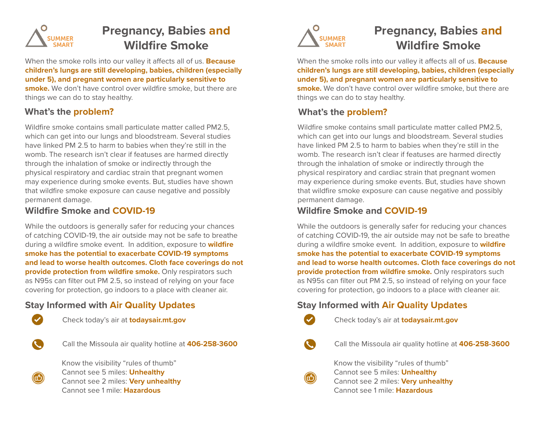

# **Pregnancy, Babies and Wildfire Smoke**

When the smoke rolls into our valley it affects all of us. **Because children's lungs are still developing, babies, children (especially under 5), and pregnant women are particularly sensitive to smoke.** We don't have control over wildfire smoke, but there are things we can do to stay healthy.

# **What's the problem?**

Wildfire smoke contains small particulate matter called PM2.5, which can get into our lungs and bloodstream. Several studies have linked PM 2.5 to harm to babies when they're still in the womb. The research isn't clear if featuses are harmed directly through the inhalation of smoke or indirectly through the physical respiratory and cardiac strain that pregnant women may experience during smoke events. But, studies have shown that wildfire smoke exposure can cause negative and possibly permanent damage.

#### **Wildfire Smoke and COVID-19**

While the outdoors is generally safer for reducing your chances of catching COVID-19, the air outside may not be safe to breathe during a wildfire smoke event. In addition, exposure to **wildfire smoke has the potential to exacerbate COVID-19 symptoms and lead to worse health outcomes. Cloth face coverings do not provide protection from wildfire smoke.** Only respirators such as N95s can filter out PM 2.5, so instead of relying on your face covering for protection, go indoors to a place with cleaner air.

# **Stay Informed with Air Quality Updates**



Check today's air at **todaysair.mt.gov**



Call the Missoula air quality hotline at **406-258-3600**



Know the visibility "rules of thumb" Cannot see 5 miles: **Unhealthy**  Cannot see 2 miles: **Very unhealthy** Cannot see 1 mile: **Hazardous**



# **Pregnancy, Babies and Wildfire Smoke**

When the smoke rolls into our valley it affects all of us. **Because children's lungs are still developing, babies, children (especially under 5), and pregnant women are particularly sensitive to smoke.** We don't have control over wildfire smoke, but there are things we can do to stay healthy.

# **What's the problem?**

Wildfire smoke contains small particulate matter called PM2.5, which can get into our lungs and bloodstream. Several studies have linked PM 2.5 to harm to babies when they're still in the womb. The research isn't clear if featuses are harmed directly through the inhalation of smoke or indirectly through the physical respiratory and cardiac strain that pregnant women may experience during smoke events. But, studies have shown that wildfire smoke exposure can cause negative and possibly permanent damage.

#### **Wildfire Smoke and COVID-19**

While the outdoors is generally safer for reducing your chances of catching COVID-19, the air outside may not be safe to breathe during a wildfire smoke event. In addition, exposure to **wildfire smoke has the potential to exacerbate COVID-19 symptoms and lead to worse health outcomes. Cloth face coverings do not provide protection from wildfire smoke.** Only respirators such as N95s can filter out PM 2.5, so instead of relying on your face covering for protection, go indoors to a place with cleaner air.

# **Stay Informed with Air Quality Updates**



Check today's air at **todaysair.mt.gov**

Call the Missoula air quality hotline at **406-258-3600**



Know the visibility "rules of thumb" Cannot see 5 miles: **Unhealthy**  Cannot see 2 miles: **Very unhealthy** Cannot see 1 mile: **Hazardous**